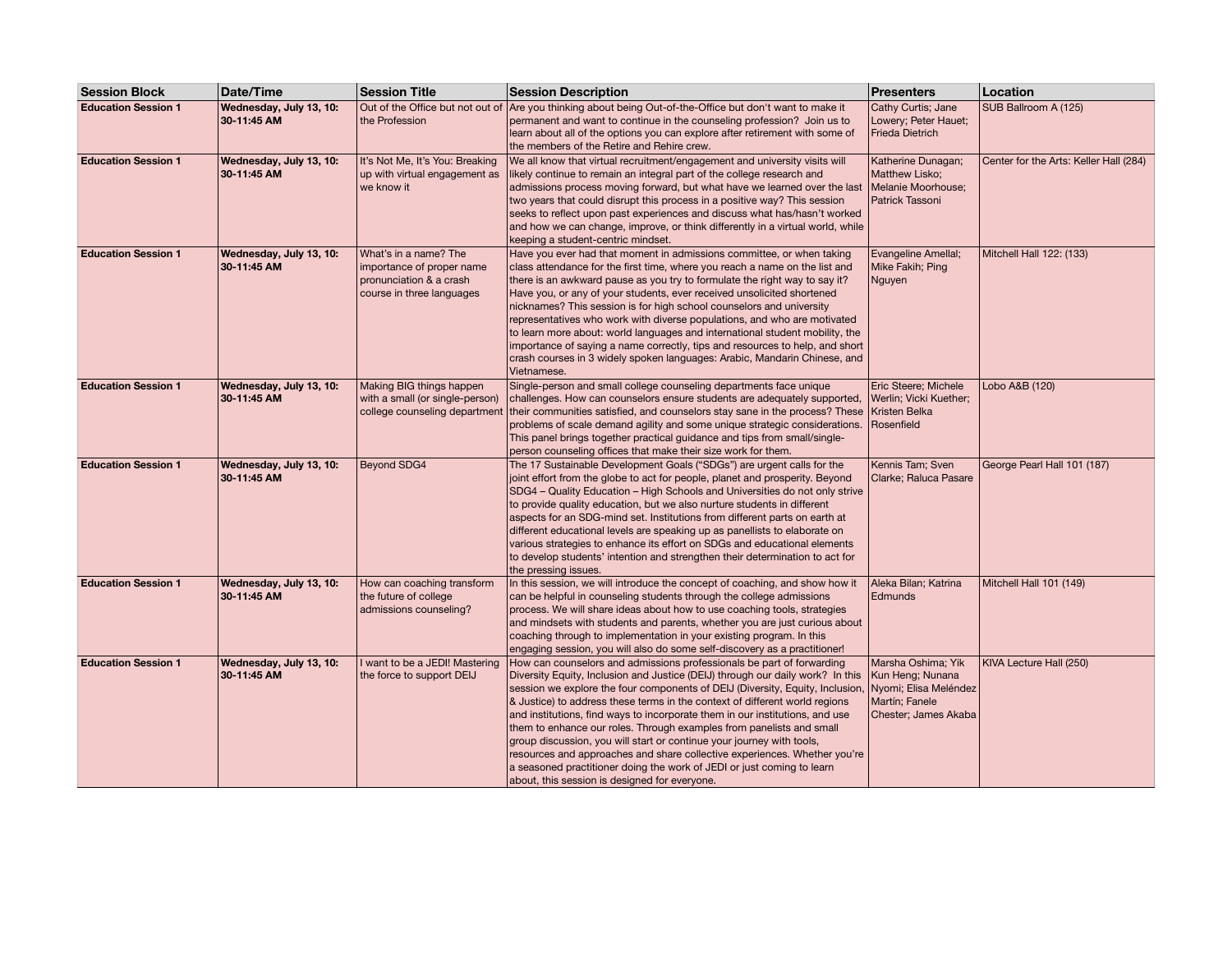| <b>Session Block</b>       | Date/Time                              | <b>Session Title</b>                                                                                       | <b>Session Description</b>                                                                                                                                                                                                                                                                                                                                                                                                                                                                                                                                                                                                                                                                                                                                                             | <b>Presenters</b>                                                                | Location                               |
|----------------------------|----------------------------------------|------------------------------------------------------------------------------------------------------------|----------------------------------------------------------------------------------------------------------------------------------------------------------------------------------------------------------------------------------------------------------------------------------------------------------------------------------------------------------------------------------------------------------------------------------------------------------------------------------------------------------------------------------------------------------------------------------------------------------------------------------------------------------------------------------------------------------------------------------------------------------------------------------------|----------------------------------------------------------------------------------|----------------------------------------|
| <b>Education Session 1</b> | Wednesday, July 13, 10:<br>30-11:45 AM | Out of the Office but not out of<br>the Profession                                                         | Are you thinking about being Out-of-the-Office but don't want to make it<br>permanent and want to continue in the counseling profession? Join us to<br>learn about all of the options you can explore after retirement with some of<br>the members of the Retire and Rehire crew.                                                                                                                                                                                                                                                                                                                                                                                                                                                                                                      | Cathy Curtis; Jane<br>Lowery; Peter Hauet;<br>Frieda Dietrich                    | SUB Ballroom A (125)                   |
| <b>Education Session 1</b> | Wednesday, July 13, 10:<br>30-11:45 AM | It's Not Me, It's You: Breaking<br>up with virtual engagement as<br>we know it                             | We all know that virtual recruitment/engagement and university visits will<br>likely continue to remain an integral part of the college research and<br>admissions process moving forward, but what have we learned over the last<br>two years that could disrupt this process in a positive way? This session<br>seeks to reflect upon past experiences and discuss what has/hasn't worked<br>and how we can change, improve, or think differently in a virtual world, while<br>keeping a student-centric mindset.                                                                                                                                                                                                                                                                    | Katherine Dunagan;<br>Matthew Lisko;<br>Melanie Moorhouse;<br>Patrick Tassoni    | Center for the Arts: Keller Hall (284) |
| <b>Education Session 1</b> | Wednesday, July 13, 10:<br>30-11:45 AM | What's in a name? The<br>importance of proper name<br>pronunciation & a crash<br>course in three languages | Have you ever had that moment in admissions committee, or when taking<br>class attendance for the first time, where you reach a name on the list and<br>there is an awkward pause as you try to formulate the right way to say it?<br>Have you, or any of your students, ever received unsolicited shortened<br>nicknames? This session is for high school counselors and university<br>representatives who work with diverse populations, and who are motivated<br>to learn more about: world languages and international student mobility, the<br>importance of saying a name correctly, tips and resources to help, and short<br>crash courses in 3 widely spoken languages: Arabic, Mandarin Chinese, and<br>Vietnamese.                                                           | Evangeline Amellal;<br>Mike Fakih; Ping<br>Nguyen                                | Mitchell Hall 122: (133)               |
| <b>Education Session 1</b> | Wednesday, July 13, 10:<br>30-11:45 AM | Making BIG things happen<br>with a small (or single-person)                                                | Single-person and small college counseling departments face unique<br>challenges. How can counselors ensure students are adequately supported,<br>college counseling department their communities satisfied, and counselors stay sane in the process? These<br>problems of scale demand agility and some unique strategic considerations.<br>This panel brings together practical guidance and tips from small/single-<br>person counseling offices that make their size work for them.                                                                                                                                                                                                                                                                                                | Eric Steere; Michele<br>Werlin; Vicki Kuether;<br>Kristen Belka<br>Rosenfield    | Lobo A&B (120)                         |
| <b>Education Session 1</b> | Wednesday, July 13, 10:<br>30-11:45 AM | <b>Beyond SDG4</b>                                                                                         | The 17 Sustainable Development Goals ("SDGs") are urgent calls for the<br>joint effort from the globe to act for people, planet and prosperity. Beyond<br>SDG4 - Quality Education - High Schools and Universities do not only strive<br>to provide quality education, but we also nurture students in different<br>aspects for an SDG-mind set. Institutions from different parts on earth at<br>different educational levels are speaking up as panellists to elaborate on<br>various strategies to enhance its effort on SDGs and educational elements<br>to develop students' intention and strengthen their determination to act for<br>the pressing issues.                                                                                                                      | Kennis Tam; Sven<br>Clarke; Raluca Pasare                                        | George Pearl Hall 101 (187)            |
| <b>Education Session 1</b> | Wednesday, July 13, 10:<br>30-11:45 AM | How can coaching transform<br>the future of college<br>admissions counseling?                              | In this session, we will introduce the concept of coaching, and show how it<br>can be helpful in counseling students through the college admissions<br>process. We will share ideas about how to use coaching tools, strategies<br>and mindsets with students and parents, whether you are just curious about<br>coaching through to implementation in your existing program. In this<br>engaging session, you will also do some self-discovery as a practitioner!                                                                                                                                                                                                                                                                                                                     | Aleka Bilan; Katrina<br>Edmunds                                                  | Mitchell Hall 101 (149)                |
| <b>Education Session 1</b> | Wednesday, July 13, 10:<br>30-11:45 AM | I want to be a JEDI! Mastering<br>the force to support DEIJ                                                | How can counselors and admissions professionals be part of forwarding<br>Diversity Equity, Inclusion and Justice (DEIJ) through our daily work? In this<br>session we explore the four components of DEIJ (Diversity, Equity, Inclusion, Nyomi; Elisa Meléndez<br>& Justice) to address these terms in the context of different world regions<br>and institutions, find ways to incorporate them in our institutions, and use<br>them to enhance our roles. Through examples from panelists and small<br>group discussion, you will start or continue your journey with tools,<br>resources and approaches and share collective experiences. Whether you're<br>a seasoned practitioner doing the work of JEDI or just coming to learn<br>about, this session is designed for everyone. | Marsha Oshima; Yik<br>Kun Heng; Nunana<br>Martín; Fanele<br>Chester; James Akaba | KIVA Lecture Hall (250)                |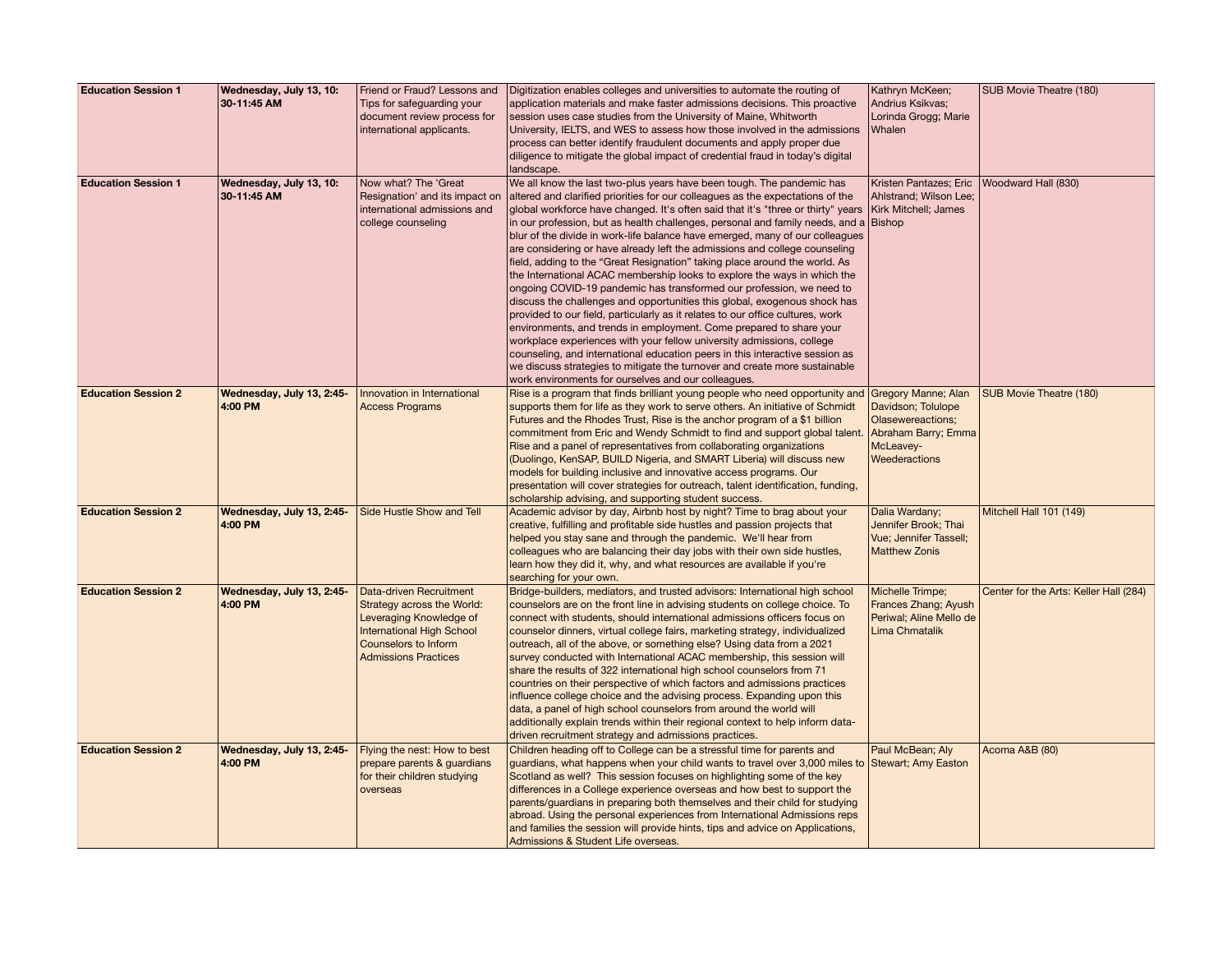| <b>Education Session 1</b> | Wednesday, July 13, 10:              | Friend or Fraud? Lessons and                                   | Digitization enables colleges and universities to automate the routing of                                                                                          | Kathryn McKeen;                                        | SUB Movie Theatre (180)                |
|----------------------------|--------------------------------------|----------------------------------------------------------------|--------------------------------------------------------------------------------------------------------------------------------------------------------------------|--------------------------------------------------------|----------------------------------------|
|                            | 30-11:45 AM                          | Tips for safeguarding your                                     | application materials and make faster admissions decisions. This proactive                                                                                         | Andrius Ksikvas;                                       |                                        |
|                            |                                      | document review process for                                    | session uses case studies from the University of Maine, Whitworth                                                                                                  | Lorinda Grogg; Marie                                   |                                        |
|                            |                                      | international applicants.                                      | University, IELTS, and WES to assess how those involved in the admissions<br>process can better identify fraudulent documents and apply proper due                 | <b>Whalen</b>                                          |                                        |
|                            |                                      |                                                                | diligence to mitigate the global impact of credential fraud in today's digital                                                                                     |                                                        |                                        |
|                            |                                      |                                                                | landscape.                                                                                                                                                         |                                                        |                                        |
| <b>Education Session 1</b> | Wednesday, July 13, 10:              | Now what? The 'Great                                           | We all know the last two-plus years have been tough. The pandemic has                                                                                              | Kristen Pantazes; Eric                                 | Woodward Hall (830)                    |
|                            | 30-11:45 AM                          | Resignation' and its impact on<br>international admissions and | altered and clarified priorities for our colleagues as the expectations of the<br>global workforce have changed. It's often said that it's "three or thirty" years | Ahlstrand; Wilson Lee;<br><b>Kirk Mitchell</b> ; James |                                        |
|                            |                                      | college counseling                                             | in our profession, but as health challenges, personal and family needs, and a                                                                                      | <b>Bishop</b>                                          |                                        |
|                            |                                      |                                                                | blur of the divide in work-life balance have emerged, many of our colleagues                                                                                       |                                                        |                                        |
|                            |                                      |                                                                | are considering or have already left the admissions and college counseling                                                                                         |                                                        |                                        |
|                            |                                      |                                                                | field, adding to the "Great Resignation" taking place around the world. As                                                                                         |                                                        |                                        |
|                            |                                      |                                                                | the International ACAC membership looks to explore the ways in which the                                                                                           |                                                        |                                        |
|                            |                                      |                                                                | ongoing COVID-19 pandemic has transformed our profession, we need to<br>discuss the challenges and opportunities this global, exogenous shock has                  |                                                        |                                        |
|                            |                                      |                                                                | provided to our field, particularly as it relates to our office cultures, work                                                                                     |                                                        |                                        |
|                            |                                      |                                                                | environments, and trends in employment. Come prepared to share your                                                                                                |                                                        |                                        |
|                            |                                      |                                                                | workplace experiences with your fellow university admissions, college                                                                                              |                                                        |                                        |
|                            |                                      |                                                                | counseling, and international education peers in this interactive session as                                                                                       |                                                        |                                        |
|                            |                                      |                                                                | we discuss strategies to mitigate the turnover and create more sustainable<br>work environments for ourselves and our colleagues.                                  |                                                        |                                        |
| <b>Education Session 2</b> | Wednesday, July 13, 2:45-            | Innovation in International                                    | Rise is a program that finds brilliant young people who need opportunity and                                                                                       | <b>Gregory Manne; Alan</b>                             | SUB Movie Theatre (180)                |
|                            | 4:00 PM                              | <b>Access Programs</b>                                         | supports them for life as they work to serve others. An initiative of Schmidt                                                                                      | Davidson; Tolulope                                     |                                        |
|                            |                                      |                                                                | Futures and the Rhodes Trust, Rise is the anchor program of a \$1 billion                                                                                          | <b>Olasewereactions;</b>                               |                                        |
|                            |                                      |                                                                | commitment from Eric and Wendy Schmidt to find and support global talent.<br>Rise and a panel of representatives from collaborating organizations                  | Abraham Barry; Emma<br>McLeavey-                       |                                        |
|                            |                                      |                                                                | (Duolingo, KenSAP, BUILD Nigeria, and SMART Liberia) will discuss new                                                                                              | Weederactions                                          |                                        |
|                            |                                      |                                                                | models for building inclusive and innovative access programs. Our                                                                                                  |                                                        |                                        |
|                            |                                      |                                                                | presentation will cover strategies for outreach, talent identification, funding,                                                                                   |                                                        |                                        |
|                            |                                      |                                                                | scholarship advising, and supporting student success.                                                                                                              |                                                        |                                        |
| <b>Education Session 2</b> | Wednesday, July 13, 2:45-<br>4:00 PM | Side Hustle Show and Tell                                      | Academic advisor by day, Airbnb host by night? Time to brag about your<br>creative, fulfilling and profitable side hustles and passion projects that               | Dalia Wardany;<br>Jennifer Brook; Thai                 | Mitchell Hall 101 (149)                |
|                            |                                      |                                                                | helped you stay sane and through the pandemic. We'll hear from                                                                                                     | <b>Vue</b> ; Jennifer Tassell;                         |                                        |
|                            |                                      |                                                                | colleagues who are balancing their day jobs with their own side hustles,                                                                                           | <b>Matthew Zonis</b>                                   |                                        |
|                            |                                      |                                                                | learn how they did it, why, and what resources are available if you're                                                                                             |                                                        |                                        |
| <b>Education Session 2</b> | Wednesday, July 13, 2:45-            | Data-driven Recruitment                                        | searching for your own.<br>Bridge-builders, mediators, and trusted advisors: International high school                                                             | Michelle Trimpe;                                       | Center for the Arts: Keller Hall (284) |
|                            | 4:00 PM                              | Strategy across the World:                                     | counselors are on the front line in advising students on college choice. To                                                                                        | Frances Zhang; Ayush                                   |                                        |
|                            |                                      | Leveraging Knowledge of                                        | connect with students, should international admissions officers focus on                                                                                           | Periwal; Aline Mello de                                |                                        |
|                            |                                      | <b>International High School</b>                               | counselor dinners, virtual college fairs, marketing strategy, individualized                                                                                       | Lima Chmatalik                                         |                                        |
|                            |                                      | Counselors to Inform<br><b>Admissions Practices</b>            | outreach, all of the above, or something else? Using data from a 2021<br>survey conducted with International ACAC membership, this session will                    |                                                        |                                        |
|                            |                                      |                                                                | share the results of 322 international high school counselors from 71                                                                                              |                                                        |                                        |
|                            |                                      |                                                                | countries on their perspective of which factors and admissions practices                                                                                           |                                                        |                                        |
|                            |                                      |                                                                | influence college choice and the advising process. Expanding upon this                                                                                             |                                                        |                                        |
|                            |                                      |                                                                | data, a panel of high school counselors from around the world will                                                                                                 |                                                        |                                        |
|                            |                                      |                                                                | additionally explain trends within their regional context to help inform data-<br>driven recruitment strategy and admissions practices.                            |                                                        |                                        |
| <b>Education Session 2</b> | Wednesday, July 13, 2:45-            | Flying the nest: How to best                                   | Children heading off to College can be a stressful time for parents and                                                                                            | Paul McBean; Aly                                       | Acoma A&B (80)                         |
|                            | 4:00 PM                              | prepare parents & quardians                                    | guardians, what happens when your child wants to travel over 3,000 miles to Stewart; Amy Easton                                                                    |                                                        |                                        |
|                            |                                      | for their children studying                                    | Scotland as well? This session focuses on highlighting some of the key                                                                                             |                                                        |                                        |
|                            |                                      | overseas                                                       | differences in a College experience overseas and how best to support the                                                                                           |                                                        |                                        |
|                            |                                      |                                                                | parents/guardians in preparing both themselves and their child for studying<br>abroad. Using the personal experiences from International Admissions reps           |                                                        |                                        |
|                            |                                      |                                                                | and families the session will provide hints, tips and advice on Applications,                                                                                      |                                                        |                                        |
|                            |                                      |                                                                | Admissions & Student Life overseas.                                                                                                                                |                                                        |                                        |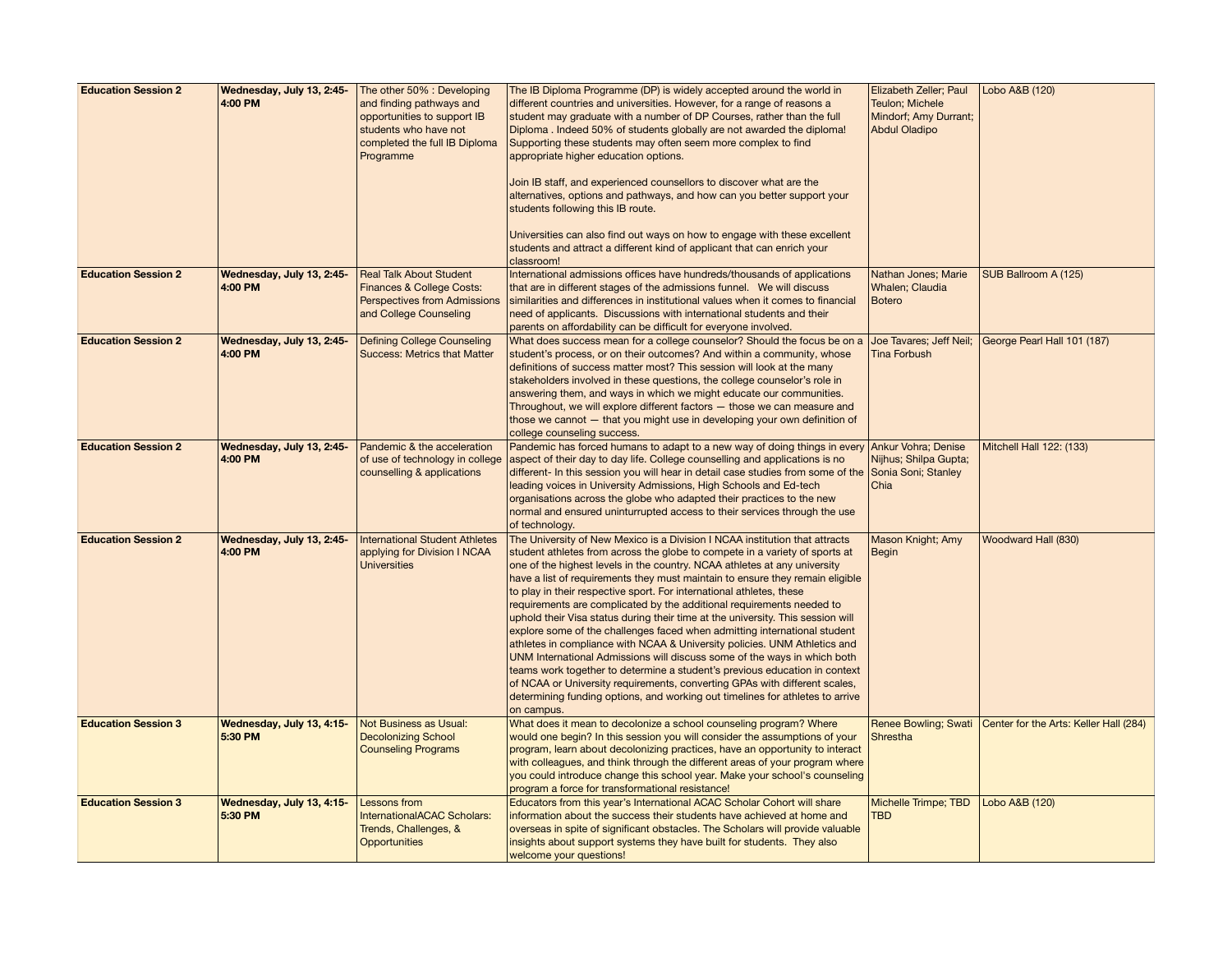| <b>Education Session 2</b> | Wednesday, July 13, 2:45-<br>4:00 PM | The other 50% : Developing<br>and finding pathways and<br>opportunities to support IB<br>students who have not<br>completed the full IB Diploma<br>Programme | The IB Diploma Programme (DP) is widely accepted around the world in<br>different countries and universities. However, for a range of reasons a<br>student may graduate with a number of DP Courses, rather than the full<br>Diploma . Indeed 50% of students globally are not awarded the diploma!<br>Supporting these students may often seem more complex to find<br>appropriate higher education options.<br>Join IB staff, and experienced counsellors to discover what are the<br>alternatives, options and pathways, and how can you better support your<br>students following this IB route.<br>Universities can also find out ways on how to engage with these excellent<br>students and attract a different kind of applicant that can enrich your<br>classroom!                                                                                                                                                                                                                                                                                    | Elizabeth Zeller; Paul<br>Teulon; Michele<br>Mindorf; Amy Durrant;<br><b>Abdul Oladipo</b> | Lobo A&B (120)                         |
|----------------------------|--------------------------------------|--------------------------------------------------------------------------------------------------------------------------------------------------------------|---------------------------------------------------------------------------------------------------------------------------------------------------------------------------------------------------------------------------------------------------------------------------------------------------------------------------------------------------------------------------------------------------------------------------------------------------------------------------------------------------------------------------------------------------------------------------------------------------------------------------------------------------------------------------------------------------------------------------------------------------------------------------------------------------------------------------------------------------------------------------------------------------------------------------------------------------------------------------------------------------------------------------------------------------------------|--------------------------------------------------------------------------------------------|----------------------------------------|
| <b>Education Session 2</b> | Wednesday, July 13, 2:45-<br>4:00 PM | <b>Real Talk About Student</b><br>Finances & College Costs:<br><b>Perspectives from Admissions</b><br>and College Counseling                                 | International admissions offices have hundreds/thousands of applications<br>that are in different stages of the admissions funnel. We will discuss<br>similarities and differences in institutional values when it comes to financial<br>need of applicants. Discussions with international students and their<br>parents on affordability can be difficult for everyone involved.                                                                                                                                                                                                                                                                                                                                                                                                                                                                                                                                                                                                                                                                            | Nathan Jones; Marie<br>Whalen; Claudia<br><b>Botero</b>                                    | SUB Ballroom A (125)                   |
| <b>Education Session 2</b> | Wednesday, July 13, 2:45-<br>4:00 PM | <b>Defining College Counseling</b><br><b>Success: Metrics that Matter</b>                                                                                    | What does success mean for a college counselor? Should the focus be on a<br>student's process, or on their outcomes? And within a community, whose<br>definitions of success matter most? This session will look at the many<br>stakeholders involved in these questions, the college counselor's role in<br>answering them, and ways in which we might educate our communities.<br>Throughout, we will explore different factors - those we can measure and<br>those we cannot - that you might use in developing your own definition of<br>college counseling success.                                                                                                                                                                                                                                                                                                                                                                                                                                                                                      | Joe Tavares; Jeff Neil;<br><b>Tina Forbush</b>                                             | George Pearl Hall 101 (187)            |
| <b>Education Session 2</b> | Wednesday, July 13, 2:45-<br>4:00 PM | Pandemic & the acceleration<br>of use of technology in college<br>counselling & applications                                                                 | Pandemic has forced humans to adapt to a new way of doing things in every Ankur Vohra; Denise<br>aspect of their day to day life. College counselling and applications is no<br>different- In this session you will hear in detail case studies from some of the Sonia Soni; Stanley<br>leading voices in University Admissions, High Schools and Ed-tech<br>organisations across the globe who adapted their practices to the new<br>normal and ensured uninturrupted access to their services through the use<br>of technology.                                                                                                                                                                                                                                                                                                                                                                                                                                                                                                                             | Nijhus; Shilpa Gupta;<br>Chia                                                              | Mitchell Hall 122: (133)               |
| <b>Education Session 2</b> | Wednesday, July 13, 2:45-<br>4:00 PM | <b>International Student Athletes</b><br>applying for Division I NCAA<br><b>Universities</b>                                                                 | The University of New Mexico is a Division I NCAA institution that attracts<br>student athletes from across the globe to compete in a variety of sports at<br>one of the highest levels in the country. NCAA athletes at any university<br>have a list of requirements they must maintain to ensure they remain eligible<br>to play in their respective sport. For international athletes, these<br>requirements are complicated by the additional requirements needed to<br>uphold their Visa status during their time at the university. This session will<br>explore some of the challenges faced when admitting international student<br>athletes in compliance with NCAA & University policies. UNM Athletics and<br>UNM International Admissions will discuss some of the ways in which both<br>teams work together to determine a student's previous education in context<br>of NCAA or University requirements, converting GPAs with different scales,<br>determining funding options, and working out timelines for athletes to arrive<br>on campus. | Mason Knight; Amy<br><b>Begin</b>                                                          | Woodward Hall (830)                    |
| <b>Education Session 3</b> | Wednesday, July 13, 4:15-<br>5:30 PM | Not Business as Usual:<br><b>Decolonizing School</b><br><b>Counseling Programs</b>                                                                           | What does it mean to decolonize a school counseling program? Where<br>would one begin? In this session you will consider the assumptions of your<br>program, learn about decolonizing practices, have an opportunity to interact<br>with colleagues, and think through the different areas of your program where<br>you could introduce change this school year. Make your school's counseling<br>program a force for transformational resistance!                                                                                                                                                                                                                                                                                                                                                                                                                                                                                                                                                                                                            | <b>Renee Bowling; Swati</b><br>Shrestha                                                    | Center for the Arts: Keller Hall (284) |
| <b>Education Session 3</b> | Wednesday, July 13, 4:15-<br>5:30 PM | Lessons from<br>InternationalACAC Scholars:<br>Trends, Challenges, &<br><b>Opportunities</b>                                                                 | Educators from this year's International ACAC Scholar Cohort will share<br>information about the success their students have achieved at home and<br>overseas in spite of significant obstacles. The Scholars will provide valuable<br>insights about support systems they have built for students. They also<br>welcome your questions!                                                                                                                                                                                                                                                                                                                                                                                                                                                                                                                                                                                                                                                                                                                      | <b>Michelle Trimpe: TBD</b><br><b>TBD</b>                                                  | Lobo A&B (120)                         |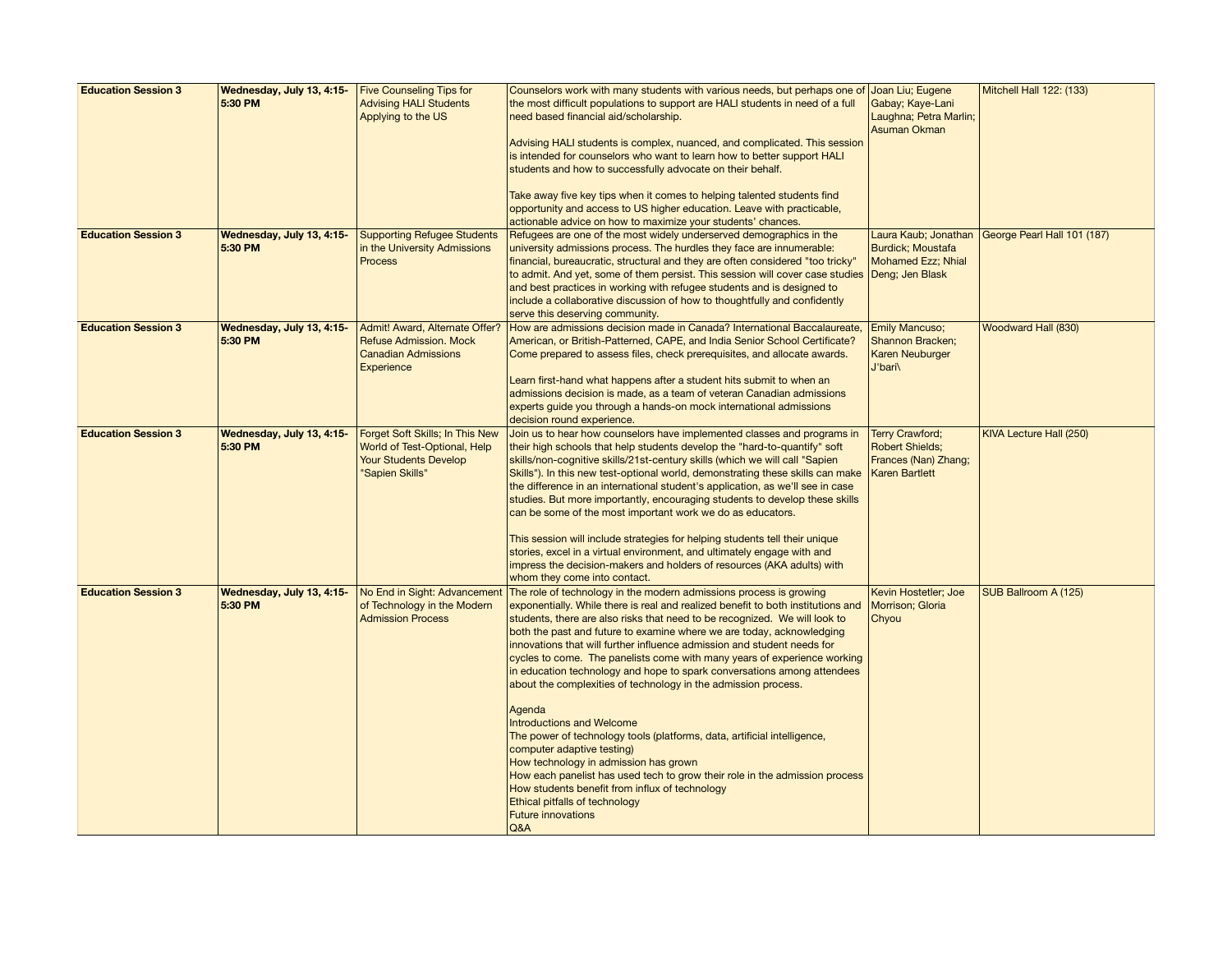| <b>Education Session 3</b> | Wednesday, July 13, 4:15- Five Counseling Tips for<br>5:30 PM | <b>Advising HALI Students</b><br>Applying to the US                                                                | Counselors work with many students with various needs, but perhaps one of Joan Liu; Eugene<br>the most difficult populations to support are HALI students in need of a full<br>need based financial aid/scholarship.<br>Advising HALI students is complex, nuanced, and complicated. This session<br>is intended for counselors who want to learn how to better support HALI<br>students and how to successfully advocate on their behalf.<br>Take away five key tips when it comes to helping talented students find<br>opportunity and access to US higher education. Leave with practicable,<br>actionable advice on how to maximize your students' chances.                                                                                                                                                                                                                                                                                                                                                           | Gabay; Kaye-Lani<br>Laughna; Petra Marlin;<br>Asuman Okman                                        | Mitchell Hall 122: (133)    |
|----------------------------|---------------------------------------------------------------|--------------------------------------------------------------------------------------------------------------------|---------------------------------------------------------------------------------------------------------------------------------------------------------------------------------------------------------------------------------------------------------------------------------------------------------------------------------------------------------------------------------------------------------------------------------------------------------------------------------------------------------------------------------------------------------------------------------------------------------------------------------------------------------------------------------------------------------------------------------------------------------------------------------------------------------------------------------------------------------------------------------------------------------------------------------------------------------------------------------------------------------------------------|---------------------------------------------------------------------------------------------------|-----------------------------|
| <b>Education Session 3</b> | Wednesday, July 13, 4:15-<br>5:30 PM                          | <b>Supporting Refugee Students</b><br>in the University Admissions<br><b>Process</b>                               | Refugees are one of the most widely underserved demographics in the<br>university admissions process. The hurdles they face are innumerable:<br>financial, bureaucratic, structural and they are often considered "too tricky"<br>to admit. And yet, some of them persist. This session will cover case studies Deng; Jen Blask<br>and best practices in working with refugee students and is designed to<br>include a collaborative discussion of how to thoughtfully and confidently<br>serve this deserving community.                                                                                                                                                                                                                                                                                                                                                                                                                                                                                                 | Laura Kaub; Jonathan<br><b>Burdick</b> ; Moustafa<br>Mohamed Ezz; Nhial                           | George Pearl Hall 101 (187) |
| <b>Education Session 3</b> | Wednesday, July 13, 4:15-<br>5:30 PM                          | Admit! Award, Alternate Offer?<br><b>Refuse Admission. Mock</b><br><b>Canadian Admissions</b><br>Experience        | How are admissions decision made in Canada? International Baccalaureate,<br>American, or British-Patterned, CAPE, and India Senior School Certificate?<br>Come prepared to assess files, check prerequisites, and allocate awards.<br>Learn first-hand what happens after a student hits submit to when an<br>admissions decision is made, as a team of veteran Canadian admissions<br>experts guide you through a hands-on mock international admissions<br>decision round experience.                                                                                                                                                                                                                                                                                                                                                                                                                                                                                                                                   | <b>Emily Mancuso;</b><br>Shannon Bracken;<br><b>Karen Neuburger</b><br>J'bari\                    | Woodward Hall (830)         |
| <b>Education Session 3</b> | Wednesday, July 13, 4:15-<br>5:30 PM                          | Forget Soft Skills; In This New<br>World of Test-Optional, Help<br><b>Your Students Develop</b><br>"Sapien Skills" | Join us to hear how counselors have implemented classes and programs in<br>their high schools that help students develop the "hard-to-quantify" soft<br>skills/non-cognitive skills/21st-century skills (which we will call "Sapien"<br>Skills"). In this new test-optional world, demonstrating these skills can make<br>the difference in an international student's application, as we'll see in case<br>studies. But more importantly, encouraging students to develop these skills<br>can be some of the most important work we do as educators.<br>This session will include strategies for helping students tell their unique<br>stories, excel in a virtual environment, and ultimately engage with and<br>impress the decision-makers and holders of resources (AKA adults) with<br>whom they come into contact.                                                                                                                                                                                                 | <b>Terry Crawford:</b><br><b>Robert Shields;</b><br>Frances (Nan) Zhang;<br><b>Karen Bartlett</b> | KIVA Lecture Hall (250)     |
| <b>Education Session 3</b> | Wednesday, July 13, 4:15-<br>5:30 PM                          | No End in Sight: Advancemen<br>of Technology in the Modern<br><b>Admission Process</b>                             | The role of technology in the modern admissions process is growing<br>exponentially. While there is real and realized benefit to both institutions and<br>students, there are also risks that need to be recognized. We will look to<br>both the past and future to examine where we are today, acknowledging<br>innovations that will further influence admission and student needs for<br>cycles to come. The panelists come with many years of experience working<br>in education technology and hope to spark conversations among attendees<br>about the complexities of technology in the admission process.<br>Agenda<br><b>Introductions and Welcome</b><br>The power of technology tools (platforms, data, artificial intelligence,<br>computer adaptive testing)<br>How technology in admission has grown<br>How each panelist has used tech to grow their role in the admission process<br>How students benefit from influx of technology<br>Ethical pitfalls of technology<br><b>Future innovations</b><br>Q&A | Kevin Hostetler; Joe<br>Morrison; Gloria<br>Chyou                                                 | SUB Ballroom A (125)        |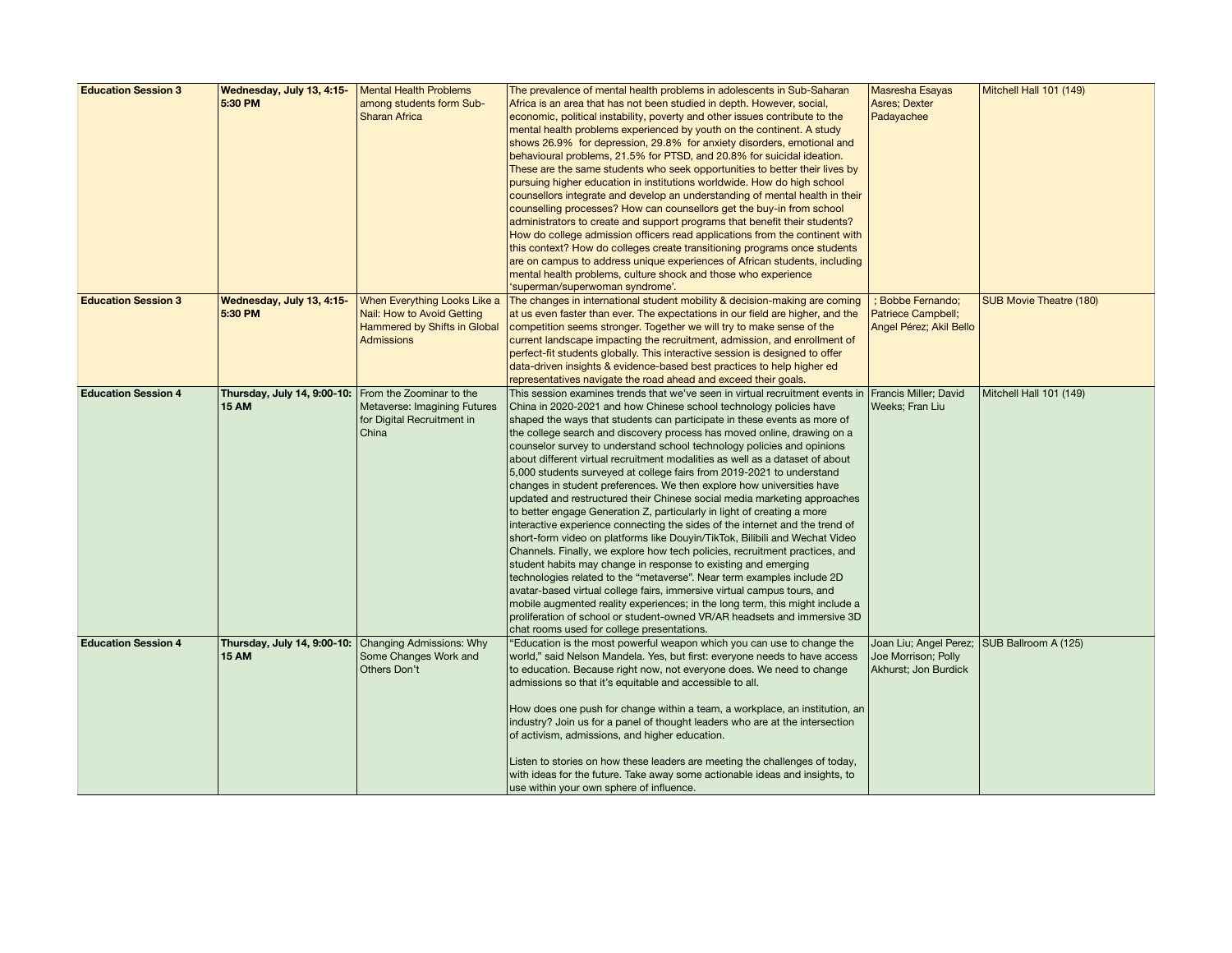| <b>Education Session 3</b> | Wednesday, July 13, 4:15-                            | Mental Health Problems       | The prevalence of mental health problems in adolescents in Sub-Saharan         | <b>Masresha Esayas</b>  | Mitchell Hall 101 (149)        |
|----------------------------|------------------------------------------------------|------------------------------|--------------------------------------------------------------------------------|-------------------------|--------------------------------|
|                            |                                                      |                              |                                                                                |                         |                                |
|                            | 5:30 PM                                              | among students form Sub-     | Africa is an area that has not been studied in depth. However, social,         | <b>Asres</b> ; Dexter   |                                |
|                            |                                                      | <b>Sharan Africa</b>         | economic, political instability, poverty and other issues contribute to the    | Padayachee              |                                |
|                            |                                                      |                              | mental health problems experienced by youth on the continent. A study          |                         |                                |
|                            |                                                      |                              | shows 26.9% for depression, 29.8% for anxiety disorders, emotional and         |                         |                                |
|                            |                                                      |                              | behavioural problems, 21.5% for PTSD, and 20.8% for suicidal ideation.         |                         |                                |
|                            |                                                      |                              | These are the same students who seek opportunities to better their lives by    |                         |                                |
|                            |                                                      |                              | pursuing higher education in institutions worldwide. How do high school        |                         |                                |
|                            |                                                      |                              | counsellors integrate and develop an understanding of mental health in their   |                         |                                |
|                            |                                                      |                              |                                                                                |                         |                                |
|                            |                                                      |                              | counselling processes? How can counsellors get the buy-in from school          |                         |                                |
|                            |                                                      |                              | administrators to create and support programs that benefit their students?     |                         |                                |
|                            |                                                      |                              | How do college admission officers read applications from the continent with    |                         |                                |
|                            |                                                      |                              | this context? How do colleges create transitioning programs once students      |                         |                                |
|                            |                                                      |                              | are on campus to address unique experiences of African students, including     |                         |                                |
|                            |                                                      |                              | mental health problems, culture shock and those who experience                 |                         |                                |
|                            |                                                      |                              | 'superman/superwoman syndrome'.                                                |                         |                                |
| <b>Education Session 3</b> | Wednesday, July 13, 4:15-                            | When Everything Looks Like a | The changes in international student mobility & decision-making are coming     | ; Bobbe Fernando;       | <b>SUB Movie Theatre (180)</b> |
|                            | 5:30 PM                                              | Nail: How to Avoid Getting   | at us even faster than ever. The expectations in our field are higher, and the | Patriece Campbell;      |                                |
|                            |                                                      | Hammered by Shifts in Global | competition seems stronger. Together we will try to make sense of the          | Angel Pérez; Akil Bello |                                |
|                            |                                                      | Admissions                   | current landscape impacting the recruitment, admission, and enrollment of      |                         |                                |
|                            |                                                      |                              |                                                                                |                         |                                |
|                            |                                                      |                              | perfect-fit students globally. This interactive session is designed to offer   |                         |                                |
|                            |                                                      |                              | data-driven insights & evidence-based best practices to help higher ed         |                         |                                |
|                            |                                                      |                              | representatives navigate the road ahead and exceed their goals.                |                         |                                |
| <b>Education Session 4</b> | Thursday, July 14, 9:00-10:                          | From the Zoominar to the     | This session examines trends that we've seen in virtual recruitment events in  | Francis Miller; David   | Mitchell Hall 101 (149)        |
|                            | <b>15 AM</b>                                         | Metaverse: Imagining Futures | China in 2020-2021 and how Chinese school technology policies have             | Weeks; Fran Liu         |                                |
|                            |                                                      | for Digital Recruitment in   | shaped the ways that students can participate in these events as more of       |                         |                                |
|                            |                                                      | China                        | the college search and discovery process has moved online, drawing on a        |                         |                                |
|                            |                                                      |                              | counselor survey to understand school technology policies and opinions         |                         |                                |
|                            |                                                      |                              | about different virtual recruitment modalities as well as a dataset of about   |                         |                                |
|                            |                                                      |                              | 5,000 students surveyed at college fairs from 2019-2021 to understand          |                         |                                |
|                            |                                                      |                              | changes in student preferences. We then explore how universities have          |                         |                                |
|                            |                                                      |                              |                                                                                |                         |                                |
|                            |                                                      |                              | updated and restructured their Chinese social media marketing approaches       |                         |                                |
|                            |                                                      |                              | to better engage Generation Z, particularly in light of creating a more        |                         |                                |
|                            |                                                      |                              | interactive experience connecting the sides of the internet and the trend of   |                         |                                |
|                            |                                                      |                              | short-form video on platforms like Douyin/TikTok, Bilibili and Wechat Video    |                         |                                |
|                            |                                                      |                              | Channels. Finally, we explore how tech policies, recruitment practices, and    |                         |                                |
|                            |                                                      |                              | student habits may change in response to existing and emerging                 |                         |                                |
|                            |                                                      |                              | technologies related to the "metaverse". Near term examples include 2D         |                         |                                |
|                            |                                                      |                              | avatar-based virtual college fairs, immersive virtual campus tours, and        |                         |                                |
|                            |                                                      |                              | mobile augmented reality experiences; in the long term, this might include a   |                         |                                |
|                            |                                                      |                              | proliferation of school or student-owned VR/AR headsets and immersive 3D       |                         |                                |
|                            |                                                      |                              | chat rooms used for college presentations.                                     |                         |                                |
| <b>Education Session 4</b> | Thursday, July 14, 9:00-10: Changing Admissions: Why |                              | 'Education is the most powerful weapon which you can use to change the         | Joan Liu; Angel Perez;  | SUB Ballroom A (125)           |
|                            | <b>15 AM</b>                                         | Some Changes Work and        | world," said Nelson Mandela. Yes, but first: everyone needs to have access     | Joe Morrison; Polly     |                                |
|                            |                                                      | Others Don't                 |                                                                                |                         |                                |
|                            |                                                      |                              | to education. Because right now, not everyone does. We need to change          | Akhurst; Jon Burdick    |                                |
|                            |                                                      |                              | admissions so that it's equitable and accessible to all.                       |                         |                                |
|                            |                                                      |                              |                                                                                |                         |                                |
|                            |                                                      |                              | How does one push for change within a team, a workplace, an institution, an    |                         |                                |
|                            |                                                      |                              | industry? Join us for a panel of thought leaders who are at the intersection   |                         |                                |
|                            |                                                      |                              | of activism, admissions, and higher education.                                 |                         |                                |
|                            |                                                      |                              |                                                                                |                         |                                |
|                            |                                                      |                              | Listen to stories on how these leaders are meeting the challenges of today,    |                         |                                |
|                            |                                                      |                              | with ideas for the future. Take away some actionable ideas and insights, to    |                         |                                |
|                            |                                                      |                              | use within your own sphere of influence.                                       |                         |                                |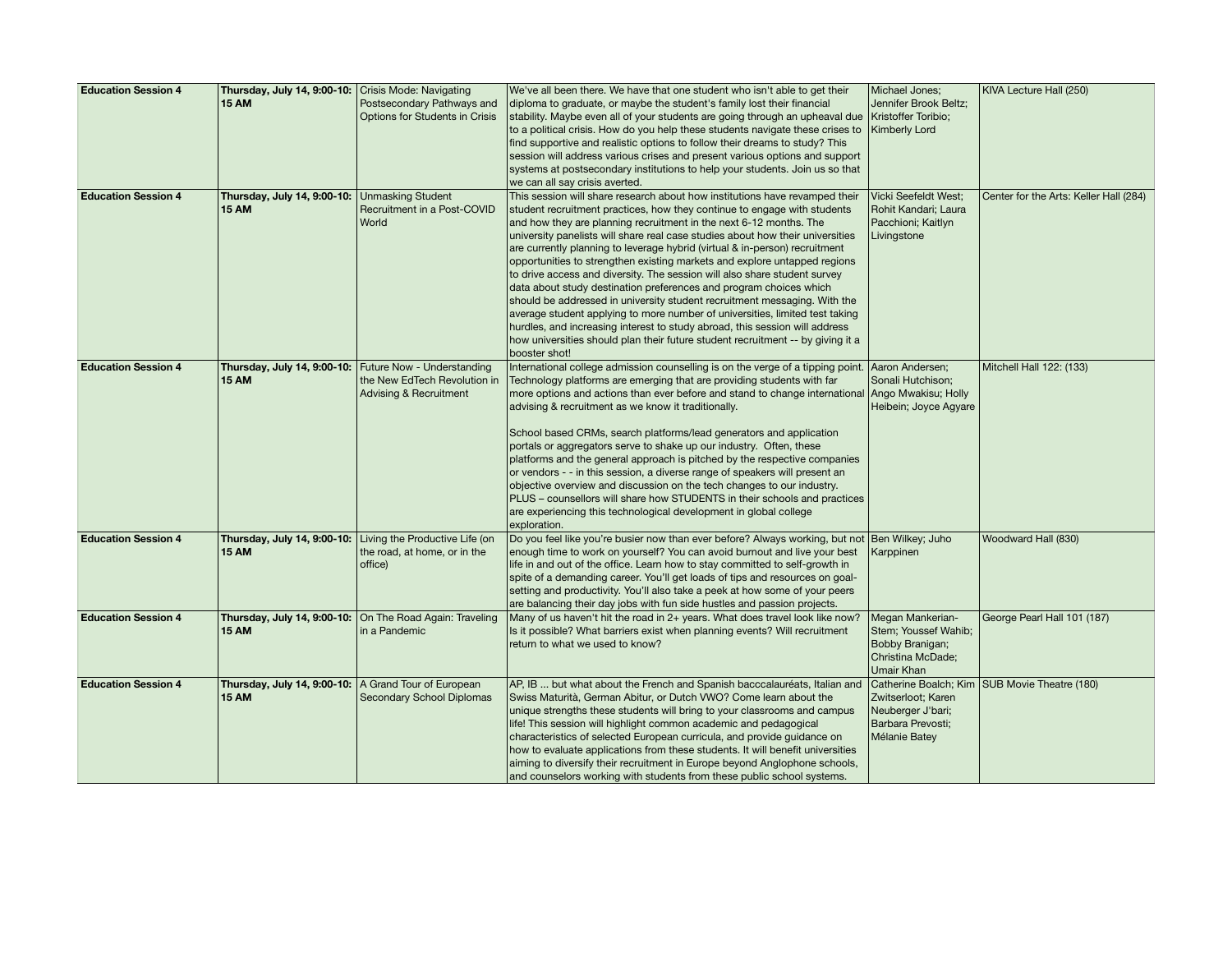| <b>Education Session 4</b> | Thursday, July 14, 9:00-10: Crisis Mode: Navigating    |                                                            | We've all been there. We have that one student who isn't able to get their                                    | Michael Jones;                          | KIVA Lecture Hall (250)                |
|----------------------------|--------------------------------------------------------|------------------------------------------------------------|---------------------------------------------------------------------------------------------------------------|-----------------------------------------|----------------------------------------|
|                            | <b>15 AM</b>                                           | Postsecondary Pathways and                                 | diploma to graduate, or maybe the student's family lost their financial                                       | Jennifer Brook Beltz;                   |                                        |
|                            |                                                        | Options for Students in Crisis                             | stability. Maybe even all of your students are going through an upheaval due                                  | Kristoffer Toribio;                     |                                        |
|                            |                                                        |                                                            | to a political crisis. How do you help these students navigate these crises to                                | <b>Kimberly Lord</b>                    |                                        |
|                            |                                                        |                                                            | find supportive and realistic options to follow their dreams to study? This                                   |                                         |                                        |
|                            |                                                        |                                                            | session will address various crises and present various options and support                                   |                                         |                                        |
|                            |                                                        |                                                            | systems at postsecondary institutions to help your students. Join us so that                                  |                                         |                                        |
|                            |                                                        |                                                            | we can all say crisis averted.                                                                                |                                         |                                        |
| <b>Education Session 4</b> | Thursday, July 14, 9:00-10: Unmasking Student          |                                                            | This session will share research about how institutions have revamped their                                   | <b>Vicki Seefeldt West;</b>             | Center for the Arts: Keller Hall (284) |
|                            | <b>15 AM</b>                                           | Recruitment in a Post-COVID                                | student recruitment practices, how they continue to engage with students                                      | Rohit Kandari; Laura                    |                                        |
|                            |                                                        | World                                                      | and how they are planning recruitment in the next 6-12 months. The                                            | Pacchioni; Kaitlyn                      |                                        |
|                            |                                                        |                                                            | university panelists will share real case studies about how their universities                                | Livingstone                             |                                        |
|                            |                                                        |                                                            | are currently planning to leverage hybrid (virtual & in-person) recruitment                                   |                                         |                                        |
|                            |                                                        |                                                            | opportunities to strengthen existing markets and explore untapped regions                                     |                                         |                                        |
|                            |                                                        |                                                            | to drive access and diversity. The session will also share student survey                                     |                                         |                                        |
|                            |                                                        |                                                            | data about study destination preferences and program choices which                                            |                                         |                                        |
|                            |                                                        |                                                            | should be addressed in university student recruitment messaging. With the                                     |                                         |                                        |
|                            |                                                        |                                                            | average student applying to more number of universities, limited test taking                                  |                                         |                                        |
|                            |                                                        |                                                            | hurdles, and increasing interest to study abroad, this session will address                                   |                                         |                                        |
|                            |                                                        |                                                            | how universities should plan their future student recruitment -- by giving it a<br>booster shot!              |                                         |                                        |
| <b>Education Session 4</b> |                                                        | Thursday, July 14, 9:00-10: Future Now - Understanding     | International college admission counselling is on the verge of a tipping point. Aaron Andersen;               |                                         | Mitchell Hall 122: (133)               |
|                            | <b>15 AM</b>                                           | the New EdTech Revolution in                               | Technology platforms are emerging that are providing students with far                                        | Sonali Hutchison;                       |                                        |
|                            |                                                        | Advising & Recruitment                                     | more options and actions than ever before and stand to change international Ango Mwakisu; Holly               |                                         |                                        |
|                            |                                                        |                                                            | advising & recruitment as we know it traditionally.                                                           | Heibein; Joyce Agyare                   |                                        |
|                            |                                                        |                                                            | School based CRMs, search platforms/lead generators and application                                           |                                         |                                        |
|                            |                                                        |                                                            | portals or aggregators serve to shake up our industry. Often, these                                           |                                         |                                        |
|                            |                                                        |                                                            | platforms and the general approach is pitched by the respective companies                                     |                                         |                                        |
|                            |                                                        |                                                            | or vendors - - in this session, a diverse range of speakers will present an                                   |                                         |                                        |
|                            |                                                        |                                                            | objective overview and discussion on the tech changes to our industry.                                        |                                         |                                        |
|                            |                                                        |                                                            | PLUS - counsellors will share how STUDENTS in their schools and practices                                     |                                         |                                        |
|                            |                                                        |                                                            | are experiencing this technological development in global college                                             |                                         |                                        |
|                            |                                                        |                                                            | exploration.                                                                                                  |                                         |                                        |
| <b>Education Session 4</b> |                                                        | Thursday, July 14, 9:00-10: Living the Productive Life (on | Do you feel like you're busier now than ever before? Always working, but not Ben Wilkey; Juho                 |                                         | Woodward Hall (830)                    |
|                            | <b>15 AM</b>                                           | the road, at home, or in the                               | enough time to work on yourself? You can avoid burnout and live your best                                     | Karppinen                               |                                        |
|                            |                                                        | office)                                                    | life in and out of the office. Learn how to stay committed to self-growth in                                  |                                         |                                        |
|                            |                                                        |                                                            | spite of a demanding career. You'll get loads of tips and resources on goal-                                  |                                         |                                        |
|                            |                                                        |                                                            | setting and productivity. You'll also take a peek at how some of your peers                                   |                                         |                                        |
|                            |                                                        |                                                            | are balancing their day jobs with fun side hustles and passion projects.                                      |                                         |                                        |
| <b>Education Session 4</b> | Thursday, July 14, 9:00-10:                            | On The Road Again: Traveling                               | Many of us haven't hit the road in 2+ years. What does travel look like now?                                  | Megan Mankerian-                        | George Pearl Hall 101 (187)            |
|                            | 15 AM                                                  | in a Pandemic                                              | Is it possible? What barriers exist when planning events? Will recruitment<br>return to what we used to know? | Stem; Youssef Wahib;<br>Bobby Branigan; |                                        |
|                            |                                                        |                                                            |                                                                                                               | Christina McDade;                       |                                        |
|                            |                                                        |                                                            |                                                                                                               | Umair Khan                              |                                        |
| <b>Education Session 4</b> | Thursday, July 14, 9:00-10:   A Grand Tour of European |                                                            | AP, IB  but what about the French and Spanish bacccalauréats, Italian and                                     | Catherine Boalch; Kim                   | SUB Movie Theatre (180)                |
|                            | <b>15 AM</b>                                           | Secondary School Diplomas                                  | Swiss Maturità, German Abitur, or Dutch VWO? Come learn about the                                             | Zwitserloot; Karen                      |                                        |
|                            |                                                        |                                                            | unique strengths these students will bring to your classrooms and campus                                      | Neuberger J'bari;                       |                                        |
|                            |                                                        |                                                            | life! This session will highlight common academic and pedagogical                                             | Barbara Prevosti;                       |                                        |
|                            |                                                        |                                                            | characteristics of selected European curricula, and provide guidance on                                       | Mélanie Batey                           |                                        |
|                            |                                                        |                                                            | how to evaluate applications from these students. It will benefit universities                                |                                         |                                        |
|                            |                                                        |                                                            | aiming to diversify their recruitment in Europe beyond Anglophone schools,                                    |                                         |                                        |
|                            |                                                        |                                                            | and counselors working with students from these public school systems.                                        |                                         |                                        |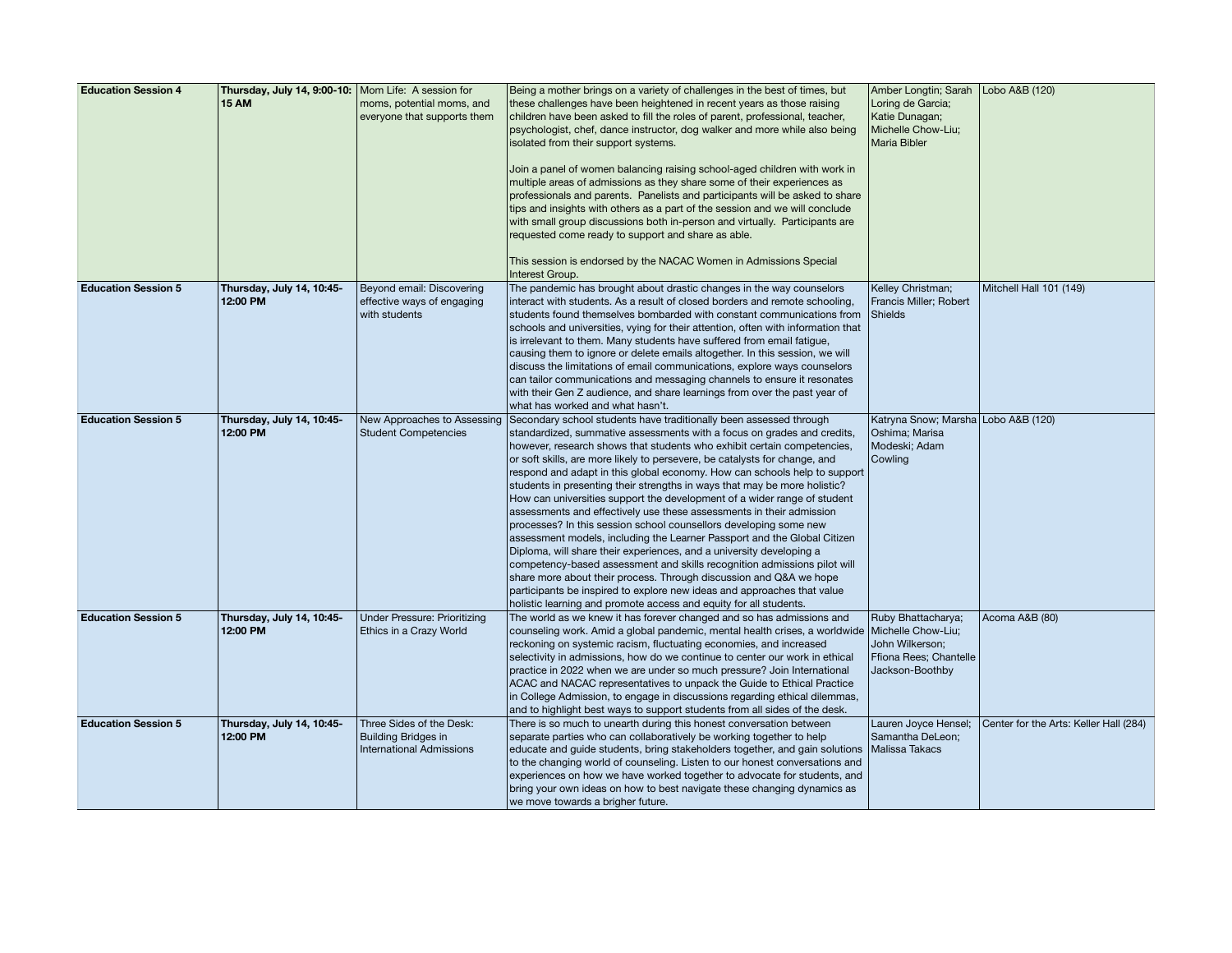| <b>Education Session 4</b> | Thursday, July 14, 9:00-10:   Mom Life: A session for |                                     | Being a mother brings on a variety of challenges in the best of times, but                      | Amber Longtin; Sarah   Lobo A&B (120) |                                        |
|----------------------------|-------------------------------------------------------|-------------------------------------|-------------------------------------------------------------------------------------------------|---------------------------------------|----------------------------------------|
|                            | <b>15 AM</b>                                          | moms, potential moms, and           | these challenges have been heightened in recent years as those raising                          | Loring de Garcia;                     |                                        |
|                            |                                                       | everyone that supports them         |                                                                                                 | Katie Dunagan;                        |                                        |
|                            |                                                       |                                     | children have been asked to fill the roles of parent, professional, teacher,                    |                                       |                                        |
|                            |                                                       |                                     | psychologist, chef, dance instructor, dog walker and more while also being                      | Michelle Chow-Liu;                    |                                        |
|                            |                                                       |                                     | isolated from their support systems.                                                            | Maria Bibler                          |                                        |
|                            |                                                       |                                     | Join a panel of women balancing raising school-aged children with work in                       |                                       |                                        |
|                            |                                                       |                                     | multiple areas of admissions as they share some of their experiences as                         |                                       |                                        |
|                            |                                                       |                                     | professionals and parents. Panelists and participants will be asked to share                    |                                       |                                        |
|                            |                                                       |                                     | tips and insights with others as a part of the session and we will conclude                     |                                       |                                        |
|                            |                                                       |                                     | with small group discussions both in-person and virtually. Participants are                     |                                       |                                        |
|                            |                                                       |                                     | requested come ready to support and share as able.                                              |                                       |                                        |
|                            |                                                       |                                     |                                                                                                 |                                       |                                        |
|                            |                                                       |                                     | This session is endorsed by the NACAC Women in Admissions Special                               |                                       |                                        |
|                            |                                                       |                                     | Interest Group.                                                                                 |                                       |                                        |
| <b>Education Session 5</b> | Thursday, July 14, 10:45-                             | Beyond email: Discovering           | The pandemic has brought about drastic changes in the way counselors                            | Kelley Christman;                     | Mitchell Hall 101 (149)                |
|                            | 12:00 PM                                              | effective ways of engaging          | interact with students. As a result of closed borders and remote schooling,                     | Francis Miller; Robert                |                                        |
|                            |                                                       | with students                       | students found themselves bombarded with constant communications from                           | Shields                               |                                        |
|                            |                                                       |                                     |                                                                                                 |                                       |                                        |
|                            |                                                       |                                     | schools and universities, vying for their attention, often with information that                |                                       |                                        |
|                            |                                                       |                                     | is irrelevant to them. Many students have suffered from email fatigue,                          |                                       |                                        |
|                            |                                                       |                                     | causing them to ignore or delete emails altogether. In this session, we will                    |                                       |                                        |
|                            |                                                       |                                     | discuss the limitations of email communications, explore ways counselors                        |                                       |                                        |
|                            |                                                       |                                     | can tailor communications and messaging channels to ensure it resonates                         |                                       |                                        |
|                            |                                                       |                                     | with their Gen Z audience, and share learnings from over the past year of                       |                                       |                                        |
|                            |                                                       |                                     | what has worked and what hasn't.                                                                |                                       |                                        |
| <b>Education Session 5</b> | Thursday, July 14, 10:45-                             | New Approaches to Assessing         | Secondary school students have traditionally been assessed through                              | Katryna Snow; Marsha Lobo A&B (120)   |                                        |
|                            | 12:00 PM                                              | <b>Student Competencies</b>         | standardized, summative assessments with a focus on grades and credits,                         | Oshima; Marisa                        |                                        |
|                            |                                                       |                                     | however, research shows that students who exhibit certain competencies,                         | Modeski; Adam                         |                                        |
|                            |                                                       |                                     | or soft skills, are more likely to persevere, be catalysts for change, and                      | Cowling                               |                                        |
|                            |                                                       |                                     | respond and adapt in this global economy. How can schools help to support                       |                                       |                                        |
|                            |                                                       |                                     | students in presenting their strengths in ways that may be more holistic?                       |                                       |                                        |
|                            |                                                       |                                     | How can universities support the development of a wider range of student                        |                                       |                                        |
|                            |                                                       |                                     | assessments and effectively use these assessments in their admission                            |                                       |                                        |
|                            |                                                       |                                     | processes? In this session school counsellors developing some new                               |                                       |                                        |
|                            |                                                       |                                     | assessment models, including the Learner Passport and the Global Citizen                        |                                       |                                        |
|                            |                                                       |                                     | Diploma, will share their experiences, and a university developing a                            |                                       |                                        |
|                            |                                                       |                                     | competency-based assessment and skills recognition admissions pilot will                        |                                       |                                        |
|                            |                                                       |                                     | share more about their process. Through discussion and Q&A we hope                              |                                       |                                        |
|                            |                                                       |                                     | participants be inspired to explore new ideas and approaches that value                         |                                       |                                        |
|                            |                                                       |                                     | holistic learning and promote access and equity for all students.                               |                                       |                                        |
| <b>Education Session 5</b> | Thursday, July 14, 10:45-                             | <b>Under Pressure: Prioritizing</b> | The world as we knew it has forever changed and so has admissions and                           | Ruby Bhattacharya;                    | Acoma A&B (80)                         |
|                            | 12:00 PM                                              | Ethics in a Crazy World             | counseling work. Amid a global pandemic, mental health crises, a worldwide   Michelle Chow-Liu; |                                       |                                        |
|                            |                                                       |                                     | reckoning on systemic racism, fluctuating economies, and increased                              | John Wilkerson;                       |                                        |
|                            |                                                       |                                     | selectivity in admissions, how do we continue to center our work in ethical                     | Ffiona Rees; Chantelle                |                                        |
|                            |                                                       |                                     | practice in 2022 when we are under so much pressure? Join International                         | Jackson-Boothby                       |                                        |
|                            |                                                       |                                     | ACAC and NACAC representatives to unpack the Guide to Ethical Practice                          |                                       |                                        |
|                            |                                                       |                                     | in College Admission, to engage in discussions regarding ethical dilemmas,                      |                                       |                                        |
|                            |                                                       |                                     | and to highlight best ways to support students from all sides of the desk.                      |                                       |                                        |
| <b>Education Session 5</b> | Thursday, July 14, 10:45-                             | Three Sides of the Desk:            | There is so much to unearth during this honest conversation between                             | Lauren Joyce Hensel;                  | Center for the Arts: Keller Hall (284) |
|                            | 12:00 PM                                              | <b>Building Bridges in</b>          | separate parties who can collaboratively be working together to help                            | Samantha DeLeon;                      |                                        |
|                            |                                                       | <b>International Admissions</b>     | educate and guide students, bring stakeholders together, and gain solutions                     | Malissa Takacs                        |                                        |
|                            |                                                       |                                     | to the changing world of counseling. Listen to our honest conversations and                     |                                       |                                        |
|                            |                                                       |                                     | experiences on how we have worked together to advocate for students, and                        |                                       |                                        |
|                            |                                                       |                                     | bring your own ideas on how to best navigate these changing dynamics as                         |                                       |                                        |
|                            |                                                       |                                     | we move towards a brigher future.                                                               |                                       |                                        |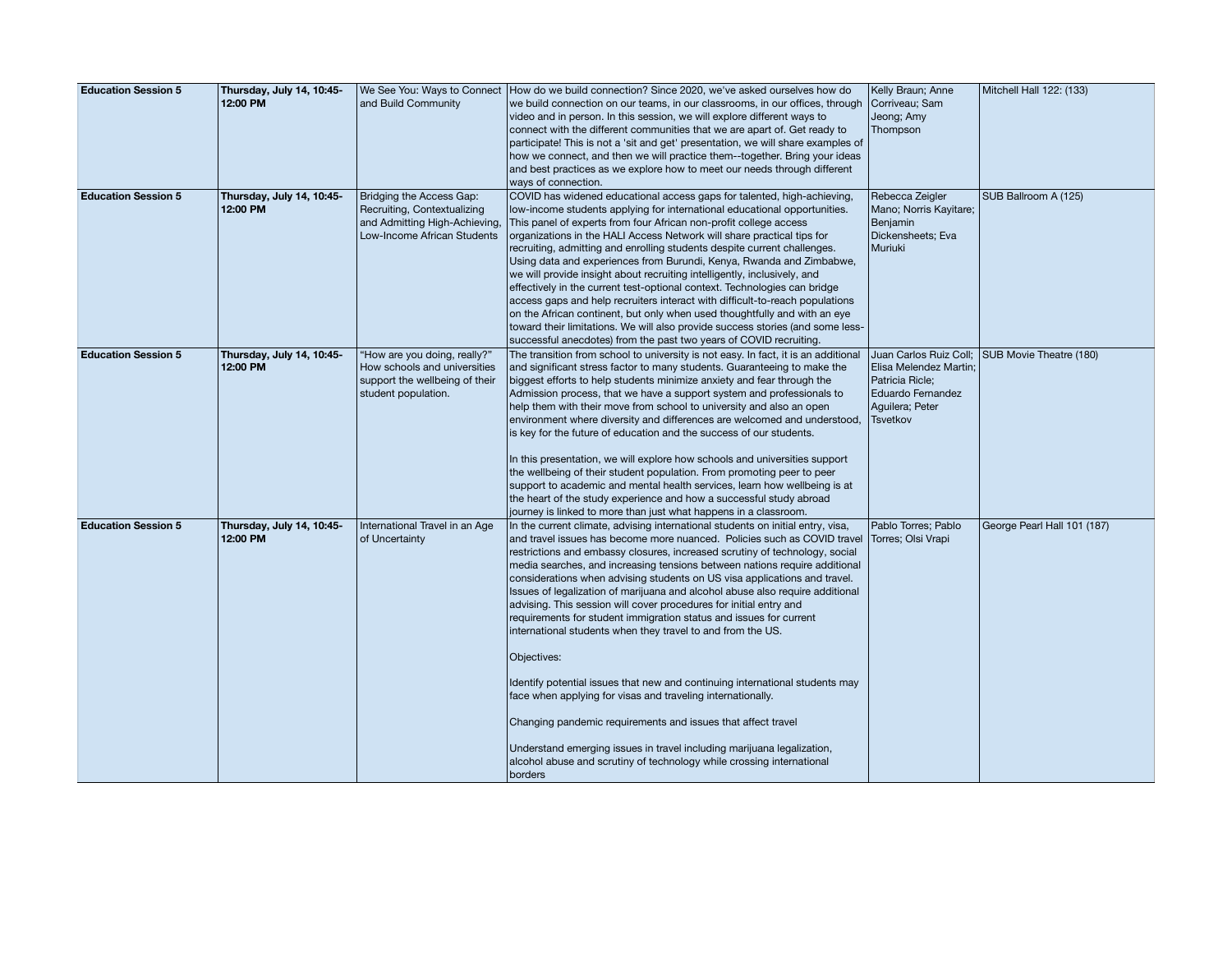| <b>Education Session 5</b> | Thursday, July 14, 10:45- |                                | We See You: Ways to Connect   How do we build connection? Since 2020, we've asked ourselves how do                                                        | Kelly Braun; Anne      | Mitchell Hall 122: (133)    |
|----------------------------|---------------------------|--------------------------------|-----------------------------------------------------------------------------------------------------------------------------------------------------------|------------------------|-----------------------------|
|                            | 12:00 PM                  | and Build Community            | we build connection on our teams, in our classrooms, in our offices, through                                                                              | Corriveau; Sam         |                             |
|                            |                           |                                | video and in person. In this session, we will explore different ways to                                                                                   | Jeong; Amy             |                             |
|                            |                           |                                | connect with the different communities that we are apart of. Get ready to                                                                                 | Thompson               |                             |
|                            |                           |                                | participate! This is not a 'sit and get' presentation, we will share examples of                                                                          |                        |                             |
|                            |                           |                                | how we connect, and then we will practice them--together. Bring your ideas                                                                                |                        |                             |
|                            |                           |                                | and best practices as we explore how to meet our needs through different                                                                                  |                        |                             |
|                            |                           |                                | ways of connection.                                                                                                                                       |                        |                             |
| <b>Education Session 5</b> | Thursday, July 14, 10:45- | Bridging the Access Gap:       | COVID has widened educational access gaps for talented, high-achieving                                                                                    | Rebecca Zeigler        | SUB Ballroom A (125)        |
|                            | 12:00 PM                  | Recruiting, Contextualizing    | low-income students applying for international educational opportunities.                                                                                 | Mano; Norris Kayitare; |                             |
|                            |                           | and Admitting High-Achieving,  | This panel of experts from four African non-profit college access                                                                                         | Benjamin               |                             |
|                            |                           | Low-Income African Students    | organizations in the HALI Access Network will share practical tips for                                                                                    | Dickensheets; Eva      |                             |
|                            |                           |                                | recruiting, admitting and enrolling students despite current challenges.                                                                                  | Muriuki                |                             |
|                            |                           |                                | Using data and experiences from Burundi, Kenya, Rwanda and Zimbabwe,                                                                                      |                        |                             |
|                            |                           |                                | we will provide insight about recruiting intelligently, inclusively, and<br>effectively in the current test-optional context. Technologies can bridge     |                        |                             |
|                            |                           |                                | access gaps and help recruiters interact with difficult-to-reach populations                                                                              |                        |                             |
|                            |                           |                                | on the African continent, but only when used thoughtfully and with an eye                                                                                 |                        |                             |
|                            |                           |                                | toward their limitations. We will also provide success stories (and some less-                                                                            |                        |                             |
|                            |                           |                                | successful anecdotes) from the past two years of COVID recruiting.                                                                                        |                        |                             |
| <b>Education Session 5</b> | Thursday, July 14, 10:45- | "How are you doing, really?"   | The transition from school to university is not easy. In fact, it is an additional                                                                        | Juan Carlos Ruiz Coll; | SUB Movie Theatre (180)     |
|                            | 12:00 PM                  | How schools and universities   | and significant stress factor to many students. Guaranteeing to make the                                                                                  | Elisa Melendez Martin; |                             |
|                            |                           | support the wellbeing of their | biggest efforts to help students minimize anxiety and fear through the                                                                                    | Patricia Ricle;        |                             |
|                            |                           | student population.            | Admission process, that we have a support system and professionals to                                                                                     | Eduardo Fernandez      |                             |
|                            |                           |                                | help them with their move from school to university and also an open                                                                                      | Aguilera; Peter        |                             |
|                            |                           |                                | environment where diversity and differences are welcomed and understood,                                                                                  | Tsvetkov               |                             |
|                            |                           |                                | is key for the future of education and the success of our students.                                                                                       |                        |                             |
|                            |                           |                                | In this presentation, we will explore how schools and universities support                                                                                |                        |                             |
|                            |                           |                                | the wellbeing of their student population. From promoting peer to peer                                                                                    |                        |                             |
|                            |                           |                                | support to academic and mental health services, learn how wellbeing is at                                                                                 |                        |                             |
|                            |                           |                                | the heart of the study experience and how a successful study abroad                                                                                       |                        |                             |
|                            |                           |                                | journey is linked to more than just what happens in a classroom.                                                                                          |                        |                             |
| <b>Education Session 5</b> | Thursday, July 14, 10:45- | International Travel in an Age | In the current climate, advising international students on initial entry, visa,                                                                           | Pablo Torres; Pablo    | George Pearl Hall 101 (187) |
|                            | 12:00 PM                  | of Uncertainty                 | and travel issues has become more nuanced. Policies such as COVID travel Torres; Olsi Vrapi                                                               |                        |                             |
|                            |                           |                                | restrictions and embassy closures, increased scrutiny of technology, social<br>media searches, and increasing tensions between nations require additional |                        |                             |
|                            |                           |                                | considerations when advising students on US visa applications and travel.                                                                                 |                        |                             |
|                            |                           |                                | Issues of legalization of marijuana and alcohol abuse also require additional                                                                             |                        |                             |
|                            |                           |                                | advising. This session will cover procedures for initial entry and                                                                                        |                        |                             |
|                            |                           |                                | requirements for student immigration status and issues for current                                                                                        |                        |                             |
|                            |                           |                                | international students when they travel to and from the US.                                                                                               |                        |                             |
|                            |                           |                                |                                                                                                                                                           |                        |                             |
|                            |                           |                                | Objectives:                                                                                                                                               |                        |                             |
|                            |                           |                                | Identify potential issues that new and continuing international students may                                                                              |                        |                             |
|                            |                           |                                | face when applying for visas and traveling internationally.                                                                                               |                        |                             |
|                            |                           |                                | Changing pandemic requirements and issues that affect travel                                                                                              |                        |                             |
|                            |                           |                                | Understand emerging issues in travel including marijuana legalization,<br>alcohol abuse and scrutiny of technology while crossing international           |                        |                             |
|                            |                           |                                | borders                                                                                                                                                   |                        |                             |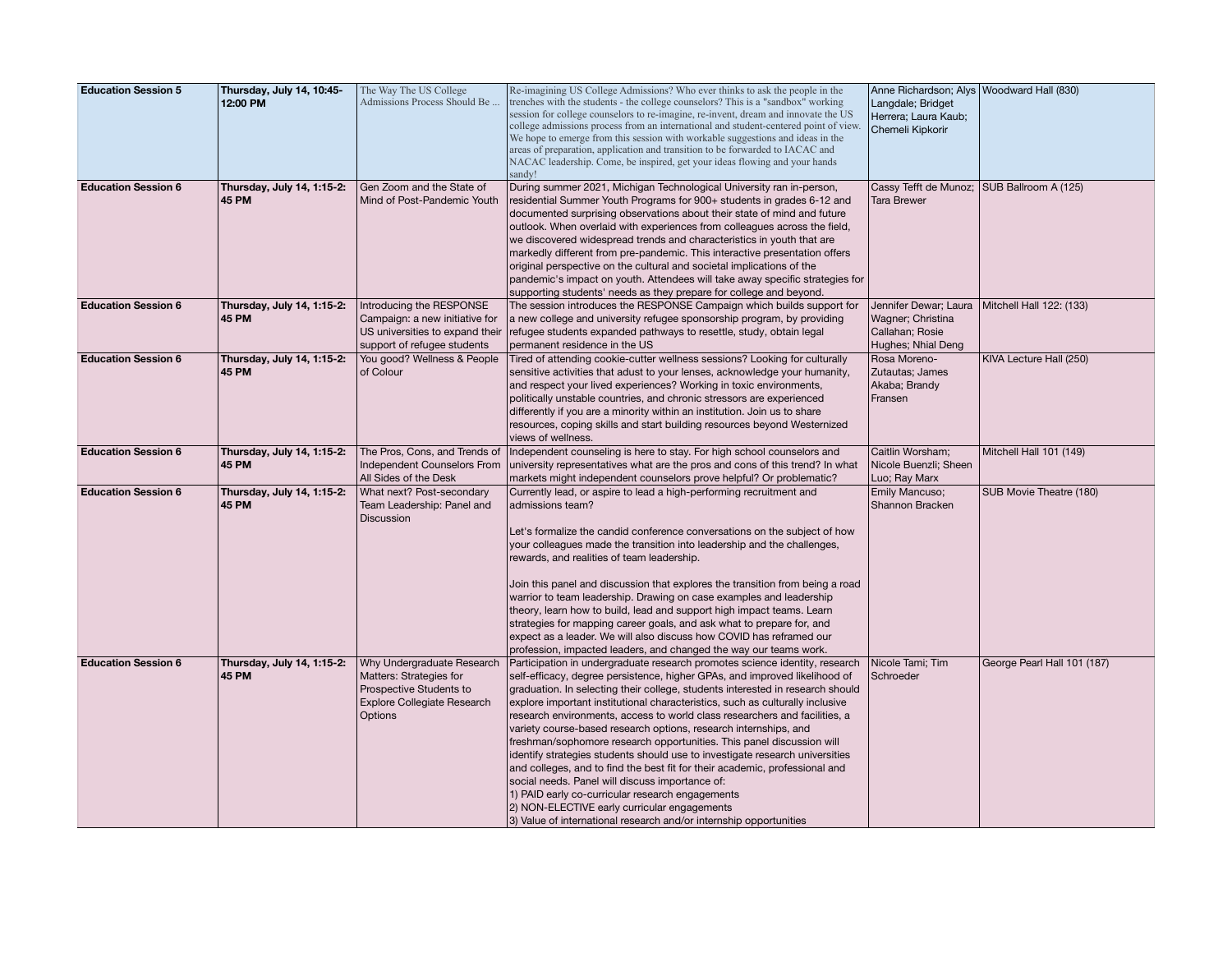| <b>Education Session 5</b> | Thursday, July 14, 10:45-<br>12:00 PM      | The Way The US College<br>Admissions Process Should Be                                                                            | Re-imagining US College Admissions? Who ever thinks to ask the people in the<br>trenches with the students - the college counselors? This is a "sandbox" working<br>session for college counselors to re-imagine, re-invent, dream and innovate the US<br>college admissions process from an international and student-centered point of view.<br>We hope to emerge from this session with workable suggestions and ideas in the<br>areas of preparation, application and transition to be forwarded to IACAC and<br>NACAC leadership. Come, be inspired, get your ideas flowing and your hands<br>sandy!                                                                                                                                                                                                                                                                                                                                           | Anne Richardson; Alys Woodward Hall (830)<br>Langdale; Bridget<br>Herrera; Laura Kaub;<br>Chemeli Kipkorir |                             |
|----------------------------|--------------------------------------------|-----------------------------------------------------------------------------------------------------------------------------------|-----------------------------------------------------------------------------------------------------------------------------------------------------------------------------------------------------------------------------------------------------------------------------------------------------------------------------------------------------------------------------------------------------------------------------------------------------------------------------------------------------------------------------------------------------------------------------------------------------------------------------------------------------------------------------------------------------------------------------------------------------------------------------------------------------------------------------------------------------------------------------------------------------------------------------------------------------|------------------------------------------------------------------------------------------------------------|-----------------------------|
| <b>Education Session 6</b> | Thursday, July 14, 1:15-2:<br><b>45 PM</b> | Gen Zoom and the State of<br>Mind of Post-Pandemic Youth                                                                          | During summer 2021, Michigan Technological University ran in-person,<br>residential Summer Youth Programs for 900+ students in grades 6-12 and<br>documented surprising observations about their state of mind and future<br>outlook. When overlaid with experiences from colleagues across the field,<br>we discovered widespread trends and characteristics in youth that are<br>markedly different from pre-pandemic. This interactive presentation offers<br>original perspective on the cultural and societal implications of the<br>pandemic's impact on youth. Attendees will take away specific strategies for<br>supporting students' needs as they prepare for college and beyond.                                                                                                                                                                                                                                                        | Cassy Tefft de Munoz; SUB Ballroom A (125)<br><b>Tara Brewer</b>                                           |                             |
| <b>Education Session 6</b> | Thursday, July 14, 1:15-2:<br><b>45 PM</b> | Introducing the RESPONSE<br>Campaign: a new initiative for<br>US universities to expand their<br>support of refugee students      | The session introduces the RESPONSE Campaign which builds support for<br>a new college and university refugee sponsorship program, by providing<br>refugee students expanded pathways to resettle, study, obtain legal<br>permanent residence in the US                                                                                                                                                                                                                                                                                                                                                                                                                                                                                                                                                                                                                                                                                             | Jennifer Dewar; Laura<br>Wagner; Christina<br>Callahan; Rosie<br>Hughes; Nhial Deng                        | Mitchell Hall 122: (133)    |
| <b>Education Session 6</b> | Thursday, July 14, 1:15-2:<br><b>45 PM</b> | You good? Wellness & People<br>of Colour                                                                                          | Tired of attending cookie-cutter wellness sessions? Looking for culturally<br>sensitive activities that adust to your lenses, acknowledge your humanity,<br>and respect your lived experiences? Working in toxic environments,<br>politically unstable countries, and chronic stressors are experienced<br>differently if you are a minority within an institution. Join us to share<br>resources, coping skills and start building resources beyond Westernized<br>views of wellness.                                                                                                                                                                                                                                                                                                                                                                                                                                                              | Rosa Moreno-<br>Zutautas; James<br>Akaba; Brandy<br>Fransen                                                | KIVA Lecture Hall (250)     |
| <b>Education Session 6</b> | Thursday, July 14, 1:15-2:<br><b>45 PM</b> | The Pros, Cons, and Trends of<br>Independent Counselors From<br>All Sides of the Desk                                             | Independent counseling is here to stay. For high school counselors and<br>university representatives what are the pros and cons of this trend? In what<br>markets might independent counselors prove helpful? Or problematic?                                                                                                                                                                                                                                                                                                                                                                                                                                                                                                                                                                                                                                                                                                                       | Caitlin Worsham;<br>Nicole Buenzli; Sheen<br>Luo; Ray Marx                                                 | Mitchell Hall 101 (149)     |
| <b>Education Session 6</b> | Thursday, July 14, 1:15-2:<br><b>45 PM</b> | What next? Post-secondary<br>Team Leadership: Panel and<br>Discussion                                                             | Currently lead, or aspire to lead a high-performing recruitment and<br>admissions team?<br>Let's formalize the candid conference conversations on the subject of how<br>your colleagues made the transition into leadership and the challenges,<br>rewards, and realities of team leadership.<br>Join this panel and discussion that explores the transition from being a road<br>warrior to team leadership. Drawing on case examples and leadership<br>theory, learn how to build, lead and support high impact teams. Learn<br>strategies for mapping career goals, and ask what to prepare for, and<br>expect as a leader. We will also discuss how COVID has reframed our<br>profession, impacted leaders, and changed the way our teams work.                                                                                                                                                                                                 | Emily Mancuso;<br>Shannon Bracken                                                                          | SUB Movie Theatre (180)     |
| <b>Education Session 6</b> | Thursday, July 14, 1:15-2:<br><b>45 PM</b> | Why Undergraduate Research<br>Matters: Strategies for<br>Prospective Students to<br><b>Explore Collegiate Research</b><br>Options | Participation in undergraduate research promotes science identity, research<br>self-efficacy, degree persistence, higher GPAs, and improved likelihood of<br>graduation. In selecting their college, students interested in research should<br>explore important institutional characteristics, such as culturally inclusive<br>research environments, access to world class researchers and facilities, a<br>variety course-based research options, research internships, and<br>freshman/sophomore research opportunities. This panel discussion will<br>identify strategies students should use to investigate research universities<br>and colleges, and to find the best fit for their academic, professional and<br>social needs. Panel will discuss importance of:<br>1) PAID early co-curricular research engagements<br>2) NON-ELECTIVE early curricular engagements<br>3) Value of international research and/or internship opportunities | Nicole Tami; Tim<br>Schroeder                                                                              | George Pearl Hall 101 (187) |